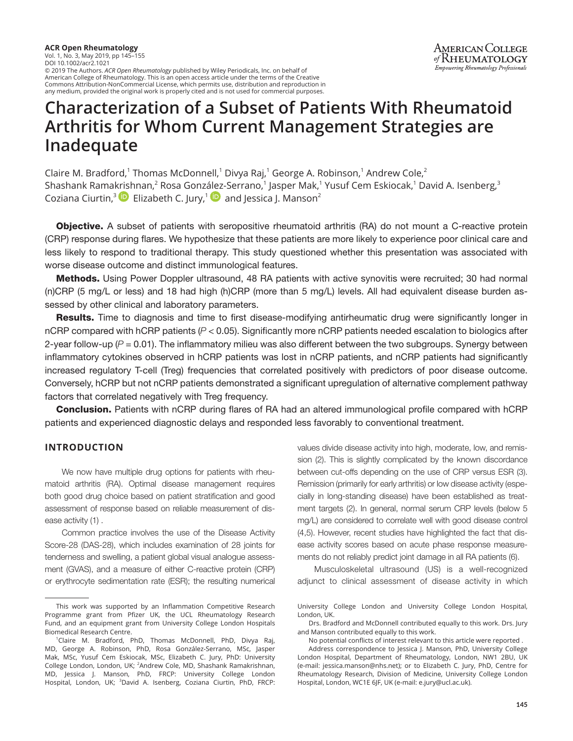**ACR Open Rheumatology** Vol. 1, No. 3, May 2019, pp 145–155 DOI 10.1002/acr2.1021 © 2019 The Authors. *ACR Open Rheumatology* published by Wiley Periodicals, Inc. on behalf of American College of Rheumatology. This is an open access article under the terms of the Creative Commons Attribution-NonCommercial License, which permits use, distribution and reproduction in any medium, provided the original work is properly cited and is not used for commercial purposes.

# **Characterization of a Subset of Patients With Rheumatoid Arthritis for Whom Current Management Strategies are Inadequate**

Claire M. Bradford,<sup>1</sup> Thomas McDonnell,<sup>1</sup> Divya Raj,<sup>1</sup> George A. Robinson,<sup>1</sup> Andrew Cole,<sup>2</sup> Shashank Rama[krish](https://orcid.org/0000-0002-8911-4113)nan,<sup>2</sup> Rosa Gonz[ález](https://orcid.org/0000-0002-2389-3396)-Serrano,<sup>1</sup> Jasper Mak,<sup>1</sup> Yusuf Cem Eskiocak,<sup>1</sup> David A. Isenberg,<sup>3</sup> Coziana Ciurtin,<sup>3</sup> Elizabeth C. Jury,<sup>1</sup> and Jessica J. Manson<sup>2</sup>

**Objective.** A subset of patients with seropositive rheumatoid arthritis (RA) do not mount a C-reactive protein (CRP) response during flares. We hypothesize that these patients are more likely to experience poor clinical care and less likely to respond to traditional therapy. This study questioned whether this presentation was associated with worse disease outcome and distinct immunological features.

Methods. Using Power Doppler ultrasound, 48 RA patients with active synovitis were recruited; 30 had normal (n)CRP (5 mg/L or less) and 18 had high (h)CRP (more than 5 mg/L) levels. All had equivalent disease burden assessed by other clinical and laboratory parameters.

Results. Time to diagnosis and time to first disease-modifying antirheumatic drug were significantly longer in nCRP compared with hCRP patients (*P* < 0.05). Significantly more nCRP patients needed escalation to biologics after 2-year follow-up  $(P = 0.01)$ . The inflammatory milieu was also different between the two subgroups. Synergy between inflammatory cytokines observed in hCRP patients was lost in nCRP patients, and nCRP patients had significantly increased regulatory T-cell (Treg) frequencies that correlated positively with predictors of poor disease outcome. Conversely, hCRP but not nCRP patients demonstrated a significant upregulation of alternative complement pathway factors that correlated negatively with Treg frequency.

Conclusion. Patients with nCRP during flares of RA had an altered immunological profile compared with hCRP patients and experienced diagnostic delays and responded less favorably to conventional treatment.

## **INTRODUCTION**

We now have multiple drug options for patients with rheumatoid arthritis (RA). Optimal disease management requires both good drug choice based on patient stratification and good assessment of response based on reliable measurement of disease activity (1) .

Common practice involves the use of the Disease Activity Score-28 (DAS-28), which includes examination of 28 joints for tenderness and swelling, a patient global visual analogue assessment (GVAS), and a measure of either C-reactive protein (CRP) or erythrocyte sedimentation rate (ESR); the resulting numerical values divide disease activity into high, moderate, low, and remission (2). This is slightly complicated by the known discordance between cut-offs depending on the use of CRP versus ESR (3). Remission (primarily for early arthritis) or low disease activity (especially in long-standing disease) have been established as treatment targets (2). In general, normal serum CRP levels (below 5 mg/L) are considered to correlate well with good disease control (4,5). However, recent studies have highlighted the fact that disease activity scores based on acute phase response measurements do not reliably predict joint damage in all RA patients (6).

Musculoskeletal ultrasound (US) is a well-recognized adjunct to clinical assessment of disease activity in which

This work was supported by an Inflammation Competitive Research Programme grant from Pfizer UK, the UCL Rheumatology Research Fund, and an equipment grant from University College London Hospitals Biomedical Research Centre.

<sup>1</sup> Claire M. Bradford, PhD, Thomas McDonnell, PhD, Divya Raj, MD, George A. Robinson, PhD, Rosa González-Serrano, MSc, Jasper Mak, MSc, Yusuf Cem Eskiocak, MSc, Elizabeth C. Jury, PhD: University College London, London, UK; <sup>2</sup>Andrew Cole, MD, Shashank Ramakrishnan, MD, Jessica J. Manson, PhD, FRCP: University College London Hospital, London, UK; <sup>3</sup>David A. Isenberg, Coziana Ciurtin, PhD, FRCP:

University College London and University College London Hospital, London, UK.

Drs. Bradford and McDonnell contributed equally to this work. Drs. Jury and Manson contributed equally to this work.

No potential conflicts of interest relevant to this article were reported .

Address correspondence to Jessica J. Manson, PhD, University College London Hospital, Department of Rheumatology, London, NW1 2BU, UK (e-mail: [jessica.manson@nhs.net](mailto:jessica.manson@nhs.net)); or to Elizabeth C. Jury, PhD, Centre for Rheumatology Research, Division of Medicine, University College London Hospital, London, WC1E 6JF, UK (e-mail: [e.jury@ucl.ac.uk\)](mailto:e.jury@ucl.ac.uk).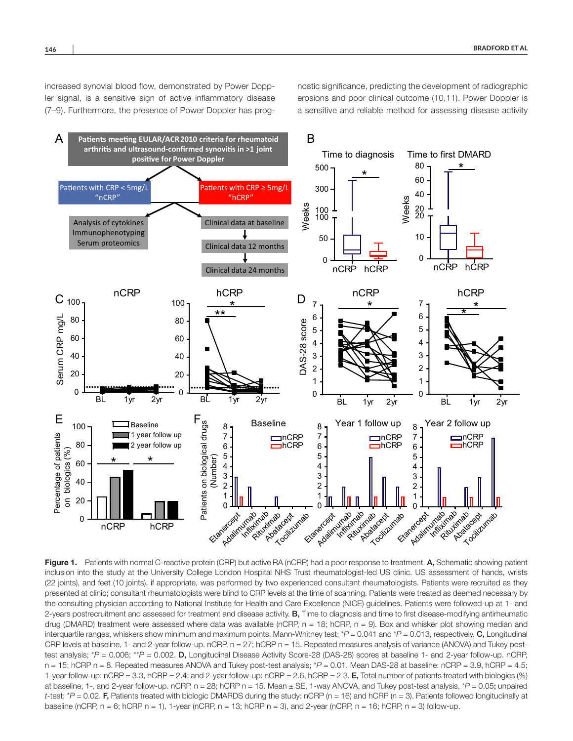increased synovial blood flow, demonstrated by Power Doppler signal, is a sensitive sign of active inflammatory disease (7–9). Furthermore, the presence of Power Doppler has prognostic significance, predicting the development of radiographic erosions and poor clinical outcome (10,11). Power Doppler is a sensitive and reliable method for assessing disease activity



Figure 1. Patients with normal C-reactive protein (CRP) but active RA (nCRP) had a poor response to treatment. A, Schematic showing patient inclusion into the study at the University College London Hospital NHS Trust rheumatologist-led US clinic. US assessment of hands, wrists (22 joints), and feet (10 joints), if appropriate, was performed by two experienced consultant rheumatologists. Patients were recruited as they presented at clinic; consultant rheumatologists were blind to CRP levels at the time of scanning. Patients were treated as deemed necessary by the consulting physician according to National Institute for Health and Care Excellence (NICE) guidelines. Patients were followed-up at 1- and 2-years postrecruitment and assessed for treatment and disease activity. **B**, Time to diagnosis and time to first disease-modifying antirheumatic drug (DMARD) treatment were assessed where data was available (nCRP,  $n = 18$ ; hCRP,  $n = 9$ ). Box and whisker plot showing median and interquartile ranges, whiskers show minimum and maximum points. Mann-Whitney test; *\*P =* 0.041 and \**P* = 0.013, respectively. C, Longitudinal CRP levels at baseline, 1- and 2-year follow-up. nCRP, n = 27; hCRP n = 15. Repeated measures analysis of variance (ANOVA) and Tukey posttest analysis; \**P* = 0.006; \*\**P* = 0.002. D, Longitudinal Disease Activity Score-28 (DAS-28) scores at baseline 1- and 2-year follow-up. nCRP, n = 15; hCRP n = 8. Repeated measures ANOVA and Tukey post-test analysis; \**P* = 0.01. Mean DAS-28 at baseline: nCRP = 3.9, hCRP = 4.5; 1-year follow-up: nCRP = 3.3, hCRP = 2.4; and 2-year follow-up: nCRP = 2.6, hCRP = 2.3. E, Total number of patients treated with biologics (%) at baseline, 1-, and 2-year follow-up. nCRP, n = 28; hCRP n = 15. Mean ± SE, 1-way ANOVA, and Tukey post-test analysis, \**P* = 0.05; unpaired *t*-test;  $P = 0.02$ . F, Patients treated with biologic DMARDS during the study: nCRP (n = 16) and hCRP (n = 3). Patients followed longitudinally at baseline (nCRP,  $n = 6$ ; hCRP  $n = 1$ ), 1-year (nCRP,  $n = 13$ ; hCRP  $n = 3$ ), and 2-year (nCRP,  $n = 16$ ; hCRP,  $n = 3$ ) follow-up.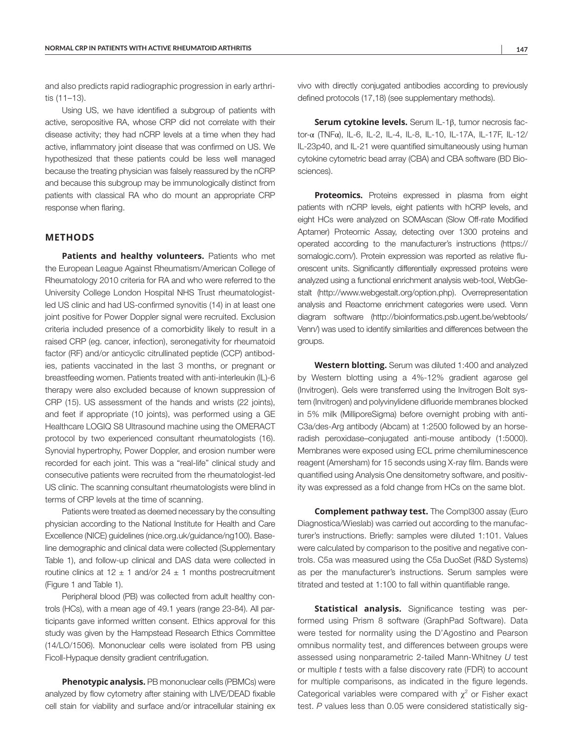and also predicts rapid radiographic progression in early arthritis (11–13).

Using US, we have identified a subgroup of patients with active, seropositive RA, whose CRP did not correlate with their disease activity; they had nCRP levels at a time when they had active, inflammatory joint disease that was confirmed on US. We hypothesized that these patients could be less well managed because the treating physician was falsely reassured by the nCRP and because this subgroup may be immunologically distinct from patients with classical RA who do mount an appropriate CRP response when flaring.

## **METHODS**

**Patients and healthy volunteers.** Patients who met the European League Against Rheumatism/American College of Rheumatology 2010 criteria for RA and who were referred to the University College London Hospital NHS Trust rheumatologistled US clinic and had US-confirmed synovitis (14) in at least one joint positive for Power Doppler signal were recruited. Exclusion criteria included presence of a comorbidity likely to result in a raised CRP (eg. cancer, infection), seronegativity for rheumatoid factor (RF) and/or anticyclic citrullinated peptide (CCP) antibodies, patients vaccinated in the last 3 months, or pregnant or breastfeeding women. Patients treated with anti-interleukin (IL)-6 therapy were also excluded because of known suppression of CRP (15). US assessment of the hands and wrists (22 joints), and feet if appropriate (10 joints), was performed using a GE Healthcare LOGIQ S8 Ultrasound machine using the OMERACT protocol by two experienced consultant rheumatologists (16). Synovial hypertrophy, Power Doppler, and erosion number were recorded for each joint. This was a "real-life" clinical study and consecutive patients were recruited from the rheumatologist-led US clinic. The scanning consultant rheumatologists were blind in terms of CRP levels at the time of scanning.

Patients were treated as deemed necessary by the consulting physician according to the National Institute for Health and Care Excellence (NICE) guidelines (nice.org.uk/guidance/ng100). Baseline demographic and clinical data were collected (Supplementary Table 1), and follow-up clinical and DAS data were collected in routine clinics at  $12 \pm 1$  and/or  $24 \pm 1$  months postrecruitment (Figure 1 and Table 1).

Peripheral blood (PB) was collected from adult healthy controls (HCs), with a mean age of 49.1 years (range 23-84). All participants gave informed written consent. Ethics approval for this study was given by the Hampstead Research Ethics Committee (14/LO/1506). Mononuclear cells were isolated from PB using Ficoll-Hypaque density gradient centrifugation.

**Phenotypic analysis.** PB mononuclear cells (PBMCs) were analyzed by flow cytometry after staining with LIVE/DEAD fixable cell stain for viability and surface and/or intracellular staining ex vivo with directly conjugated antibodies according to previously defined protocols (17,18) (see supplementary methods).

**Serum cytokine levels.** Serum IL-1β, tumor necrosis factor-α (TNFα), IL-6, IL-2, IL-4, IL-8, IL-10, IL-17A, IL-17F, IL-12/ IL-23p40, and IL-21 were quantified simultaneously using human cytokine cytometric bead array (CBA) and CBA software (BD Biosciences).

**Proteomics.** Proteins expressed in plasma from eight patients with nCRP levels, eight patients with hCRP levels, and eight HCs were analyzed on SOMAscan (Slow Off-rate Modified Aptamer) Proteomic Assay, detecting over 1300 proteins and operated according to the manufacturer's instructions [\(https://](https://somalogic.com/) [somalogic.com/](https://somalogic.com/)). Protein expression was reported as relative fluorescent units. Significantly differentially expressed proteins were analyzed using a functional enrichment analysis web-tool, WebGestalt [\(http://www.webgestalt.org/option.php](http://www.webgestalt.org/option.php)). Overrepresentation analysis and Reactome enrichment categories were used. Venn diagram software ([http://bioinformatics.psb.ugent.be/webtools/](http://bioinformatics.psb.ugent.be/webtools/Venn/) [Venn/\)](http://bioinformatics.psb.ugent.be/webtools/Venn/) was used to identify similarities and differences between the groups.

**Western blotting.** Serum was diluted 1:400 and analyzed by Western blotting using a 4%-12% gradient agarose gel (Invitrogen). Gels were transferred using the Invitrogen Bolt system (Invitrogen) and polyvinylidene difluoride membranes blocked in 5% milk (MilliporeSigma) before overnight probing with anti-C3a/des-Arg antibody (Abcam) at 1:2500 followed by an horseradish peroxidase–conjugated anti-mouse antibody (1:5000). Membranes were exposed using ECL prime chemiluminescence reagent (Amersham) for 15 seconds using X-ray film. Bands were quantified using Analysis One densitometry software, and positivity was expressed as a fold change from HCs on the same blot.

**Complement pathway test.** The Compl300 assay (Euro Diagnostica/Wieslab) was carried out according to the manufacturer's instructions. Briefly: samples were diluted 1:101. Values were calculated by comparison to the positive and negative controls. C5a was measured using the C5a DuoSet (R&D Systems) as per the manufacturer's instructions. Serum samples were titrated and tested at 1:100 to fall within quantifiable range.

**Statistical analysis.** Significance testing was performed using Prism 8 software (GraphPad Software). Data were tested for normality using the D'Agostino and Pearson omnibus normality test, and differences between groups were assessed using nonparametric 2-tailed Mann-Whitney *U* test or multiple *t* tests with a false discovery rate (FDR) to account for multiple comparisons, as indicated in the figure legends. Categorical variables were compared with  $\chi^2$  or Fisher exact test. *P* values less than 0.05 were considered statistically sig-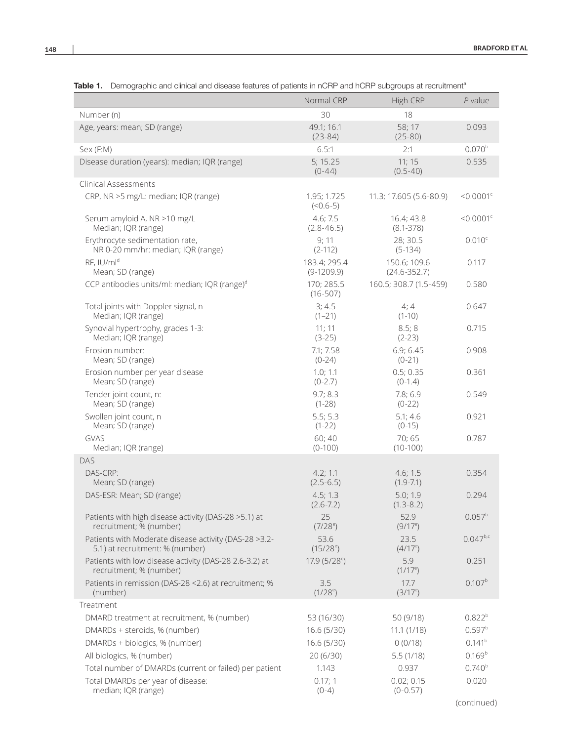| <b>TADIC 1.</b> Defined about and clinical and disease readines or patients in her in and her in subgroups at recruitment |                              |                                  |                         |
|---------------------------------------------------------------------------------------------------------------------------|------------------------------|----------------------------------|-------------------------|
|                                                                                                                           | Normal CRP                   | High CRP                         | $P$ value               |
| Number (n)                                                                                                                | 30                           | 18                               |                         |
| Age, years: mean; SD (range)                                                                                              | 49.1; 16.1<br>$(23-84)$      | 58; 17<br>$(25 - 80)$            | 0.093                   |
| Sex (F:M)                                                                                                                 | 6.5:1                        | 2:1                              | $0.070^{b}$             |
| Disease duration (years): median; IQR (range)                                                                             | 5; 15.25<br>$(0-44)$         | 11; 15<br>$(0.5 - 40)$           | 0.535                   |
| Clinical Assessments                                                                                                      |                              |                                  |                         |
| CRP, NR >5 mg/L: median; IQR (range)                                                                                      | 1.95; 1.725<br>$(<0.6-5)$    | 11.3; 17.605 (5.6-80.9)          | $< 0.0001$ <sup>c</sup> |
| Serum amyloid A, NR >10 mg/L<br>Median; IQR (range)                                                                       | 4.6; 7.5<br>$(2.8 - 46.5)$   | 16.4; 43.8<br>$(8.1 - 378)$      | $< 0.0001$ <sup>c</sup> |
| Erythrocyte sedimentation rate,<br>NR 0-20 mm/hr: median; IQR (range)                                                     | 9;11<br>$(2-112)$            | 28; 30.5<br>$(5-134)$            | 0.010c                  |
| RF, IU/ml <sup>d</sup><br>Mean; SD (range)                                                                                | 183.4; 295.4<br>$(9-1209.9)$ | 150.6; 109.6<br>$(24.6 - 352.7)$ | 0.117                   |
| CCP antibodies units/ml: median; IQR (range) <sup>d</sup>                                                                 | 170; 285.5<br>$(16-507)$     | 160.5; 308.7 (1.5-459)           | 0.580                   |
| Total joints with Doppler signal, n<br>Median; IQR (range)                                                                | 3; 4.5<br>$(1 - 21)$         | 4;4<br>$(1-10)$                  | 0.647                   |
| Synovial hypertrophy, grades 1-3:<br>Median; IQR (range)                                                                  | 11; 11<br>$(3-25)$           | 8.5;8<br>$(2-23)$                | 0.715                   |
| Erosion number:<br>Mean; SD (range)                                                                                       | 7.1; 7.58<br>$(0-24)$        | 6.9; 6.45<br>$(0-21)$            | 0.908                   |
| Erosion number per year disease<br>Mean; SD (range)                                                                       | 1.0; 1.1<br>$(0-2.7)$        | 0.5; 0.35<br>$(0-1.4)$           | 0.361                   |
| Tender joint count, n:<br>Mean; SD (range)                                                                                | 9.7; 8.3<br>$(1-28)$         | 7.8; 6.9<br>$(0-22)$             | 0.549                   |
| Swollen joint count, n<br>Mean; SD (range)                                                                                | 5.5; 5.3<br>$(1-22)$         | 5.1; 4.6<br>$(0-15)$             | 0.921                   |
| GVAS<br>Median; IQR (range)                                                                                               | 60;40<br>$(0-100)$           | 70;65<br>$(10-100)$              | 0.787                   |
| DAS                                                                                                                       |                              |                                  |                         |
| DAS-CRP:<br>Mean; SD (range)                                                                                              | 4.2; 1.1<br>$(2.5 - 6.5)$    | 4.6; 1.5<br>$(1.9 - 7.1)$        | 0.354                   |
| DAS-ESR: Mean; SD (range)                                                                                                 | 4.5; 1.3<br>$(2.6 - 7.2)$    | 5.0; 1.9<br>$(1.3 - 8.2)$        | 0.294                   |
| Patients with high disease activity (DAS-28 > 5.1) at<br>recruitment; % (number)                                          | 25<br>$(7/28^e)$             | 52.9<br>$(9/17^e)$               | $0.057^{b}$             |
| Patients with Moderate disease activity (DAS-28 >3.2-<br>5.1) at recruitment: % (number)                                  | 53.6<br>$(15/28^{\circ})$    | 23.5<br>$(4/17^{\circ})$         | $0.047^{b,c}$           |
| Patients with low disease activity (DAS-28 2.6-3.2) at<br>recruitment; % (number)                                         | $17.9(5/28^{\circ})$         | 5.9<br>$(1/17^e)$                | 0.251                   |
| Patients in remission (DAS-28 < 2.6) at recruitment; %<br>(number)                                                        | 3.5<br>$(1/28^{e})$          | 17.7<br>$(3/17^e)$               | 0.107 <sup>b</sup>      |
| Treatment                                                                                                                 |                              |                                  |                         |
| DMARD treatment at recruitment, % (number)                                                                                | 53 (16/30)                   | 50 (9/18)                        | $0.822^{b}$             |
| DMARDs + steroids, % (number)                                                                                             | 16.6 (5/30)                  | 11.1(1/18)                       | 0.597 <sup>b</sup>      |
| DMARDs + biologics, % (number)                                                                                            | 16.6 (5/30)                  | 0(0/18)                          | 0.141 <sup>b</sup>      |
| All biologics, % (number)                                                                                                 | 20 (6/30)                    | 5.5(1/18)                        | 0.169 <sup>b</sup>      |
| Total number of DMARDs (current or failed) per patient                                                                    | 1.143                        | 0.937                            | 0.740 <sup>b</sup>      |
| Total DMARDs per year of disease:<br>median; IQR (range)                                                                  | 0.17; 1<br>$(0-4)$           | 0.02; 0.15<br>$(0-0.57)$         | 0.020                   |

Table 1. Demographic and clinical and disease features of patients in nCRP and hCRP subgroups at recruitment<sup>a</sup>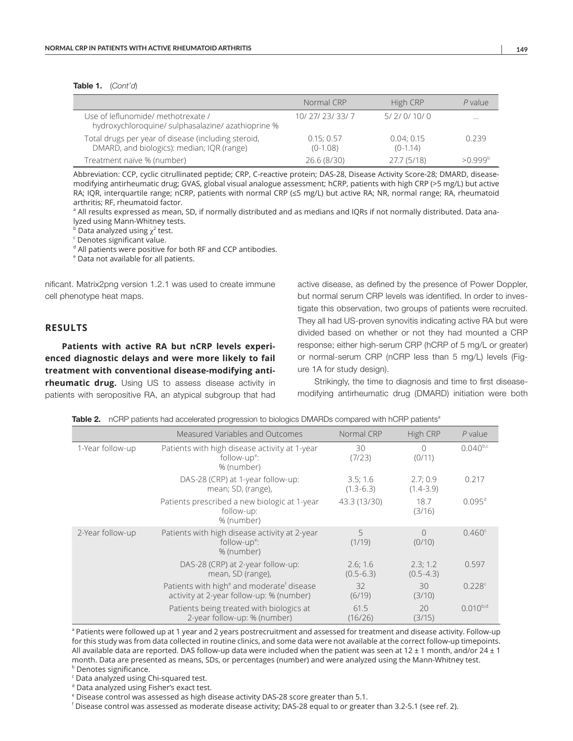#### Table 1. (*Cont'd*)

|                                                                                                   | Normal CRP               | High CRP                | P value             |
|---------------------------------------------------------------------------------------------------|--------------------------|-------------------------|---------------------|
| Use of leflunomide/ methotrexate /<br>hydroxychloroquine/sulphasalazine/azathioprine %            | 10/27/23/33/7            | 5/2/0/10/0              | $\cdots$            |
| Total drugs per year of disease (including steroid,<br>DMARD, and biologics): median; IQR (range) | 0.15; 0.57<br>$(0-1.08)$ | 0.04:0.15<br>$(0-1.14)$ | 0.239               |
| Treatment naïve % (number)                                                                        | 26.6 (8/30)              | 27.7 (5/18)             | >0.999 <sup>b</sup> |

Abbreviation: CCP, cyclic citrullinated peptide; CRP, C-reactive protein; DAS-28, Disease Activity Score-28; DMARD, diseasemodifying antirheumatic drug; GVAS, global visual analogue assessment; hCRP, patients with high CRP (>5 mg/L) but active RA; IQR, interquartile range; nCRP, patients with normal CRP (≤5 mg/L) but active RA; NR, normal range; RA, rheumatoid arthritis; RF, rheumatoid factor.

<sup>a</sup> All results expressed as mean, SD, if normally distributed and as medians and IQRs if not normally distributed. Data analyzed using Mann-Whitney tests.

<sup>b</sup> Data analyzed using  $\chi^2$  test.<br><sup>c</sup> Denotes significant value.

Denotes significant value.

d All patients were positive for both RF and CCP antibodies.

e Data not available for all patients.

nificant. Matrix2png version 1.2.1 was used to create immune cell phenotype heat maps.

#### **RESULTS**

**Patients with active RA but nCRP levels experienced diagnostic delays and were more likely to fail treatment with conventional disease-modifying antirheumatic drug.** Using US to assess disease activity in patients with seropositive RA, an atypical subgroup that had active disease, as defined by the presence of Power Doppler, but normal serum CRP levels was identified. In order to investigate this observation, two groups of patients were recruited. They all had US-proven synovitis indicating active RA but were divided based on whether or not they had mounted a CRP response; either high-serum CRP (hCRP of 5 mg/L or greater) or normal-serum CRP (nCRP less than 5 mg/L) levels (Figure 1A for study design).

Strikingly, the time to diagnosis and time to first diseasemodifying antirheumatic drug (DMARD) initiation were both

Table 2. nCRP patients had accelerated progression to biologics DMARDs compared with hCRP patients<sup>a</sup>

|                  | Measured Variables and Outcomes                                                                               | Normal CRP                | High CRP                  | $P$ value       |
|------------------|---------------------------------------------------------------------------------------------------------------|---------------------------|---------------------------|-----------------|
| 1-Year follow-up | Patients with high disease activity at 1-year<br>follow-up <sup>e</sup> :<br>% (number)                       | 30<br>(7/23)              | $\bigcap$<br>(0/11)       | $0.040^{b,c}$   |
|                  | DAS-28 (CRP) at 1-year follow-up:<br>mean; SD, (range),                                                       | 3.5; 1.6<br>$(1.3 - 6.3)$ | 2.7;0.9<br>$(1.4 - 3.9)$  | 0.217           |
|                  | Patients prescribed a new biologic at 1-year<br>follow-up:<br>% (number)                                      | 43.3 (13/30)              | 18.7<br>(3/16)            | $0.095^{\rm d}$ |
| 2-Year follow-up | Patients with high disease activity at 2-year<br>follow-up <sup>e</sup> :<br>% (number)                       | 5<br>(1/19)               | $\cap$<br>(0/10)          | $0.460^{\circ}$ |
|                  | DAS-28 (CRP) at 2-year follow-up:<br>mean, SD (range),                                                        | 2.6; 1.6<br>$(0.5 - 6.3)$ | 2.3; 1.2<br>$(0.5 - 4.3)$ | 0.597           |
|                  | Patients with high <sup>e</sup> and moderate <sup>f</sup> disease<br>activity at 2-year follow-up: % (number) | 32<br>(6/19)              | 30<br>(3/10)              | 0.228c          |
|                  | Patients being treated with biologics at<br>2-year follow-up: % (number)                                      | 61.5<br>(16/26)           | 20<br>(3/15)              | $0.010^{b,d}$   |

<sup>a</sup> Patients were followed up at 1 year and 2 years postrecruitment and assessed for treatment and disease activity. Follow-up for this study was from data collected in routine clinics, and some data were not available at the correct follow-up timepoints. All available data are reported. DAS follow-up data were included when the patient was seen at 12  $\pm$  1 month, and/or 24  $\pm$  1 month. Data are presented as means, SDs, or percentages (number) and were analyzed using the Mann-Whitney test. b

**b** Denotes significance.

<sup>c</sup> Data analyzed using Chi-squared test.<br><sup>d</sup> Data analyzed using Fisher's exact test

Data analyzed using Fisher's exact test.

<sup>e</sup> Disease control was assessed as high disease activity DAS-28 score greater than 5.1.<br><sup>f</sup> Disease control was assessed as moderate disease astivity: DAS-28 squal to er greate

 $^{\rm f}$  Disease control was assessed as moderate disease activity; DAS-28 equal to or greater than 3.2-5.1 (see ref. 2).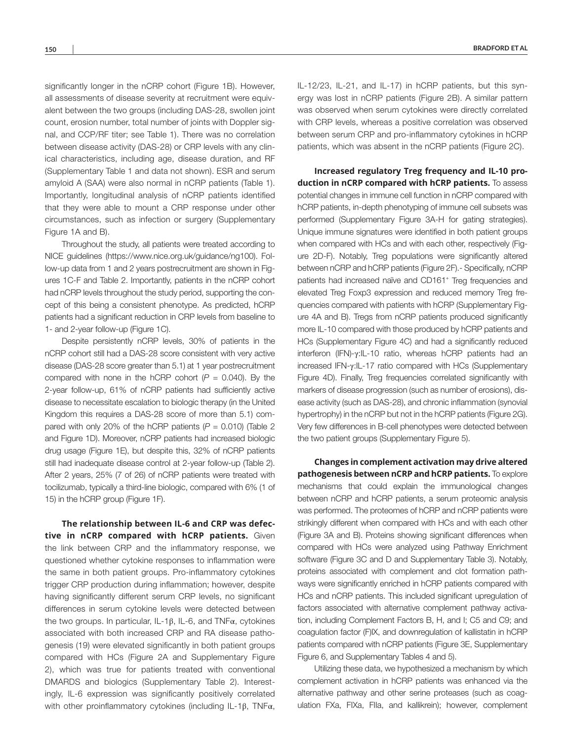significantly longer in the nCRP cohort (Figure 1B). However, all assessments of disease severity at recruitment were equivalent between the two groups (including DAS-28, swollen joint count, erosion number, total number of joints with Doppler signal, and CCP/RF titer; see Table 1). There was no correlation between disease activity (DAS-28) or CRP levels with any clinical characteristics, including age, disease duration, and RF (Supplementary Table 1 and data not shown). ESR and serum amyloid A (SAA) were also normal in nCRP patients (Table 1). Importantly, longitudinal analysis of nCRP patients identified that they were able to mount a CRP response under other circumstances, such as infection or surgery (Supplementary Figure 1A and B).

Throughout the study, all patients were treated according to NICE guidelines [\(https://www.nice.org.uk/guidance/ng100](https://www.nice.org.uk/guidance/ng100)). Follow-up data from 1 and 2 years postrecruitment are shown in Figures 1C-F and Table 2. Importantly, patients in the nCRP cohort had nCRP levels throughout the study period, supporting the concept of this being a consistent phenotype. As predicted, hCRP patients had a significant reduction in CRP levels from baseline to 1- and 2-year follow-up (Figure 1C).

Despite persistently nCRP levels, 30% of patients in the nCRP cohort still had a DAS-28 score consistent with very active disease (DAS-28 score greater than 5.1) at 1 year postrecruitment compared with none in the hCRP cohort  $(P = 0.040)$ . By the 2-year follow-up, 61% of nCRP patients had sufficiently active disease to necessitate escalation to biologic therapy (in the United Kingdom this requires a DAS-28 score of more than 5.1) compared with only 20% of the hCRP patients  $(P = 0.010)$  (Table 2) and Figure 1D). Moreover, nCRP patients had increased biologic drug usage (Figure 1E), but despite this, 32% of nCRP patients still had inadequate disease control at 2-year follow-up (Table 2). After 2 years, 25% (7 of 26) of nCRP patients were treated with tocilizumab, typically a third-line biologic, compared with 6% (1 of 15) in the hCRP group (Figure 1F).

**The relationship between IL-6 and CRP was defective in nCRP compared with hCRP patients.** Given the link between CRP and the inflammatory response, we questioned whether cytokine responses to inflammation were the same in both patient groups. Pro-inflammatory cytokines trigger CRP production during inflammation; however, despite having significantly different serum CRP levels, no significant differences in serum cytokine levels were detected between the two groups. In particular, IL-1β, IL-6, and TNFα, cytokines associated with both increased CRP and RA disease pathogenesis (19) were elevated significantly in both patient groups compared with HCs (Figure 2A and Supplementary Figure 2), which was true for patients treated with conventional DMARDS and biologics (Supplementary Table 2). Interestingly, IL-6 expression was significantly positively correlated with other proinflammatory cytokines (including IL-1β, TNFα,

IL-12/23, IL-21, and IL-17) in hCRP patients, but this synergy was lost in nCRP patients (Figure 2B). A similar pattern was observed when serum cytokines were directly correlated with CRP levels, whereas a positive correlation was observed between serum CRP and pro-inflammatory cytokines in hCRP patients, which was absent in the nCRP patients (Figure 2C).

**Increased regulatory Treg frequency and IL-10 production in nCRP compared with hCRP patients.** To assess potential changes in immune cell function in nCRP compared with hCRP patients, in-depth phenotyping of immune cell subsets was performed (Supplementary Figure 3A-H for gating strategies). Unique immune signatures were identified in both patient groups when compared with HCs and with each other, respectively (Figure 2D-F). Notably, Treg populations were significantly altered between nCRP and hCRP patients (Figure 2F).- Specifically, nCRP patients had increased naïve and CD161<sup>+</sup> Treg frequencies and elevated Treg Foxp3 expression and reduced memory Treg frequencies compared with patients with hCRP (Supplementary Figure 4A and B). Tregs from nCRP patients produced significantly more IL-10 compared with those produced by hCRP patients and HCs (Supplementary Figure 4C) and had a significantly reduced interferon (IFN)-γ:IL-10 ratio, whereas hCRP patients had an increased IFN-γ:IL-17 ratio compared with HCs (Supplementary Figure 4D). Finally, Treg frequencies correlated significantly with markers of disease progression (such as number of erosions), disease activity (such as DAS-28), and chronic inflammation (synovial hypertrophy) in the nCRP but not in the hCRP patients (Figure 2G). Very few differences in B-cell phenotypes were detected between the two patient groups (Supplementary Figure 5).

**Changes in complement activation may drive altered pathogenesis between nCRP and hCRP patients.** To explore mechanisms that could explain the immunological changes between nCRP and hCRP patients, a serum proteomic analysis was performed. The proteomes of hCRP and nCRP patients were strikingly different when compared with HCs and with each other (Figure 3A and B). Proteins showing significant differences when compared with HCs were analyzed using Pathway Enrichment software (Figure 3C and D and Supplementary Table 3). Notably, proteins associated with complement and clot formation pathways were significantly enriched in hCRP patients compared with HCs and nCRP patients. This included significant upregulation of factors associated with alternative complement pathway activation, including Complement Factors B, H, and I; C5 and C9; and coagulation factor (F)IX, and downregulation of kallistatin in hCRP patients compared with nCRP patients (Figure 3E, Supplementary Figure 6, and Supplementary Tables 4 and 5).

Utilizing these data, we hypothesized a mechanism by which complement activation in hCRP patients was enhanced via the alternative pathway and other serine proteases (such as coagulation FXa, FIXa, FIIa, and kallikrein); however, complement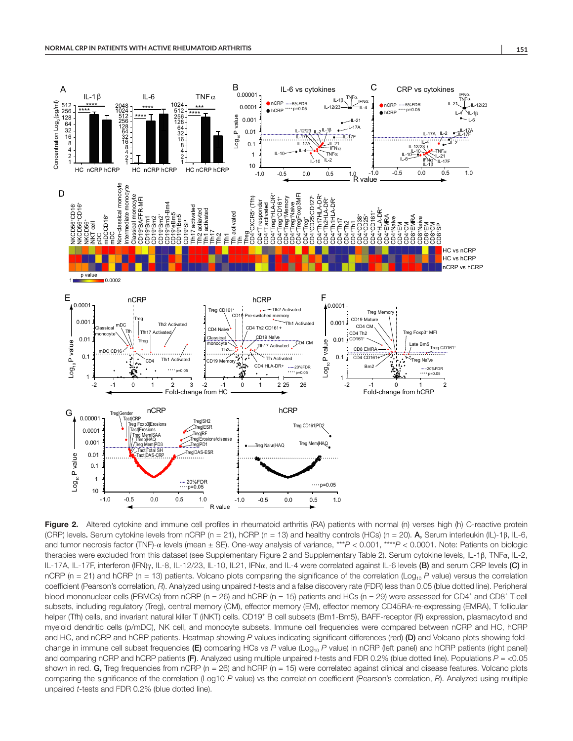

Figure 2. Altered cytokine and immune cell profiles in rheumatoid arthritis (RA) patients with normal (n) verses high (h) C-reactive protein (CRP) levels. Serum cytokine levels from nCRP (n = 21), hCRP (n = 13) and healthy controls (HCs) (n = 20). A, Serum interleukin (IL)-1β, IL-6, and tumor necrosis factor (TNF)-α levels (mean ± SE). One-way analysis of variance, \*\*\**P* < 0.001, \*\*\*\**P* < 0.0001. Note: Patients on biologic therapies were excluded from this dataset (see Supplementary Figure 2 and Supplementary Table 2). Serum cytokine levels, IL-1β, TNFα, IL-2, IL-17A, IL-17F, interferon (IFN)γ, IL-8, IL-12/23, IL-10, IL21, IFNα, and IL-4 were correlated against IL-6 levels (B) and serum CRP levels (C) in nCRP (n = 21) and hCRP (n = 13) patients. Volcano plots comparing the significance of the correlation (Log<sub>10</sub> *P* value) versus the correlation coefficient (Pearson's correlation, *R*). Analyzed using unpaired *t*-tests and a false discovery rate (FDR) less than 0.05 (blue dotted line). Peripheral blood mononuclear cells (PBMCs) from nCRP (n = 26) and hCRP (n = 15) patients and HCs (n = 29) were assessed for CD4<sup>+</sup> and CD8<sup>+</sup> T-cell subsets, including regulatory (Treg), central memory (CM), effector memory (EM), effector memory CD45RA-re-expressing (EMRA), T follicular helper (Tfh) cells, and invariant natural killer T (iNKT) cells. CD19<sup>+</sup> B cell subsets (Bm1-Bm5), BAFF-receptor (R) expression, plasmacytoid and myeloid dendritic cells (p/mDC), NK cell, and monocyte subsets. Immune cell frequencies were compared between nCRP and HC, hCRP and HC, and nCRP and hCRP patients. Heatmap showing *P* values indicating significant differences (red) (D) and Volcano plots showing foldchange in immune cell subset frequencies (E) comparing HCs vs *P* value (Log<sub>10</sub> *P* value) in nCRP (left panel) and hCRP patients (right panel) and comparing nCRP and hCRP patients (F). Analyzed using multiple unpaired *t*-tests and FDR 0.2% (blue dotted line). Populations *P* = <0.05 shown in red. G, Treg frequencies from nCRP ( $n = 26$ ) and hCRP ( $n = 15$ ) were correlated against clinical and disease features. Volcano plots comparing the significance of the correlation (Log10 *P* value) vs the correlation coefficient (Pearson's correlation, *R*). Analyzed using multiple unpaired *t*-tests and FDR 0.2% (blue dotted line).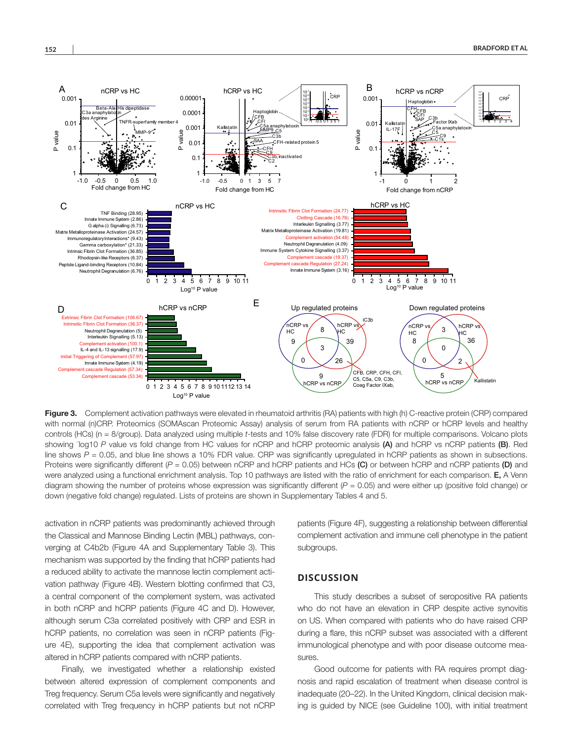

Figure 3. Complement activation pathways were elevated in rheumatoid arthritis (RA) patients with high (h) C-reactive protein (CRP) compared with normal (n)CRP. Proteomics (SOMAscan Proteomic Assay) analysis of serum from RA patients with nCRP or hCRP levels and healthy controls (HCs) (n = 8/group). Data analyzed using multiple *t*-tests and 10% false discovery rate (FDR) for multiple comparisons. Volcano plots showing <sup>-</sup>log10 *P* value vs fold change from HC values for nCRP and hCRP proteomic analysis (A) and hCRP vs nCRP patients (B). Red line shows  $P = 0.05$ , and blue line shows a 10% FDR value. CRP was significantly upregulated in hCRP patients as shown in subsections. Proteins were significantly different ( $P = 0.05$ ) between nCRP and hCRP patients and HCs (C) or between hCRP and nCRP patients (D) and were analyzed using a functional enrichment analysis. Top 10 pathways are listed with the ratio of enrichment for each comparison. E, A Venn diagram showing the number of proteins whose expression was significantly different ( $P = 0.05$ ) and were either up (positive fold change) or down (negative fold change) regulated. Lists of proteins are shown in Supplementary Tables 4 and 5.

activation in nCRP patients was predominantly achieved through the Classical and Mannose Binding Lectin (MBL) pathways, converging at C4b2b (Figure 4A and Supplementary Table 3). This mechanism was supported by the finding that hCRP patients had a reduced ability to activate the mannose lectin complement activation pathway (Figure 4B). Western blotting confirmed that C3, a central component of the complement system, was activated in both nCRP and hCRP patients (Figure 4C and D). However, although serum C3a correlated positively with CRP and ESR in hCRP patients, no correlation was seen in nCRP patients (Figure 4E), supporting the idea that complement activation was altered in hCRP patients compared with nCRP patients.

Finally, we investigated whether a relationship existed between altered expression of complement components and Treg frequency. Serum C5a levels were significantly and negatively correlated with Treg frequency in hCRP patients but not nCRP patients (Figure 4F), suggesting a relationship between differential complement activation and immune cell phenotype in the patient subgroups.

#### **DISCUSSION**

This study describes a subset of seropositive RA patients who do not have an elevation in CRP despite active synovitis on US. When compared with patients who do have raised CRP during a flare, this nCRP subset was associated with a different immunological phenotype and with poor disease outcome measures.

Good outcome for patients with RA requires prompt diagnosis and rapid escalation of treatment when disease control is inadequate (20–22). In the United Kingdom, clinical decision making is guided by NICE (see Guideline 100), with initial treatment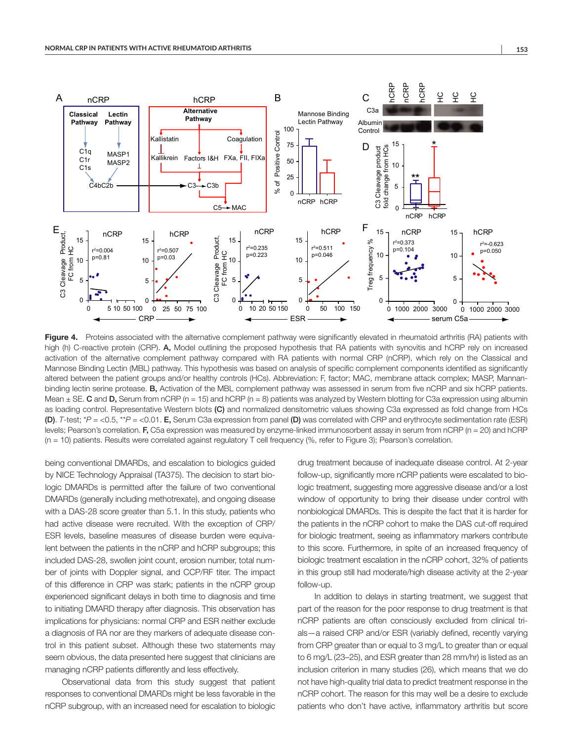

Figure 4. Proteins associated with the alternative complement pathway were significantly elevated in rheumatoid arthritis (RA) patients with high (h) C-reactive protein (CRP). A, Model outlining the proposed hypothesis that RA patients with synovitis and hCRP rely on increased activation of the alternative complement pathway compared with RA patients with normal CRP (nCRP), which rely on the Classical and Mannose Binding Lectin (MBL) pathway. This hypothesis was based on analysis of specific complement components identified as significantly altered between the patient groups and/or healthy controls (HCs). Abbreviation: F, factor; MAC, membrane attack complex; MASP, Mannanbinding lectin serine protease. B, Activation of the MBL complement pathway was assessed in serum from five nCRP and six hCRP patients. Mean  $\pm$  SE. C and D, Serum from nCRP (n = 15) and hCRP (n = 8) patients was analyzed by Western blotting for C3a expression using albumin as loading control. Representative Western blots (C) and normalized densitometric values showing C3a expressed as fold change from HCs (D). *T*-test; \**P* = <0.5, \*\**P* = <0.01. E, Serum C3a expression from panel (D) was correlated with CRP and erythrocyte sedimentation rate (ESR) levels; Pearson's correlation. F, C5a expression was measured by enzyme-linked immunosorbent assay in serum from nCRP (n = 20) and hCRP  $(n = 10)$  patients. Results were correlated against regulatory T cell frequency  $(%$ , refer to Figure 3); Pearson's correlation.

being conventional DMARDs, and escalation to biologics guided by NICE Technology Appraisal (TA375). The decision to start biologic DMARDs is permitted after the failure of two conventional DMARDs (generally including methotrexate), and ongoing disease with a DAS-28 score greater than 5.1. In this study, patients who had active disease were recruited. With the exception of CRP/ ESR levels, baseline measures of disease burden were equivalent between the patients in the nCRP and hCRP subgroups; this included DAS-28, swollen joint count, erosion number, total number of joints with Doppler signal, and CCP/RF titer. The impact of this difference in CRP was stark; patients in the nCRP group experienced significant delays in both time to diagnosis and time to initiating DMARD therapy after diagnosis. This observation has implications for physicians: normal CRP and ESR neither exclude a diagnosis of RA nor are they markers of adequate disease control in this patient subset. Although these two statements may seem obvious, the data presented here suggest that clinicians are managing nCRP patients differently and less effectively.

Observational data from this study suggest that patient responses to conventional DMARDs might be less favorable in the nCRP subgroup, with an increased need for escalation to biologic

drug treatment because of inadequate disease control. At 2-year follow-up, significantly more nCRP patients were escalated to biologic treatment, suggesting more aggressive disease and/or a lost window of opportunity to bring their disease under control with nonbiological DMARDs. This is despite the fact that it is harder for the patients in the nCRP cohort to make the DAS cut-off required for biologic treatment, seeing as inflammatory markers contribute to this score. Furthermore, in spite of an increased frequency of biologic treatment escalation in the nCRP cohort, 32% of patients in this group still had moderate/high disease activity at the 2-year follow-up.

In addition to delays in starting treatment, we suggest that part of the reason for the poor response to drug treatment is that nCRP patients are often consciously excluded from clinical trials—a raised CRP and/or ESR (variably defined, recently varying from CRP greater than or equal to 3 mg/L to greater than or equal to 6 mg/L (23–25), and ESR greater than 28 mm/hr) is listed as an inclusion criterion in many studies (26), which means that we do not have high-quality trial data to predict treatment response in the nCRP cohort. The reason for this may well be a desire to exclude patients who don't have active, inflammatory arthritis but score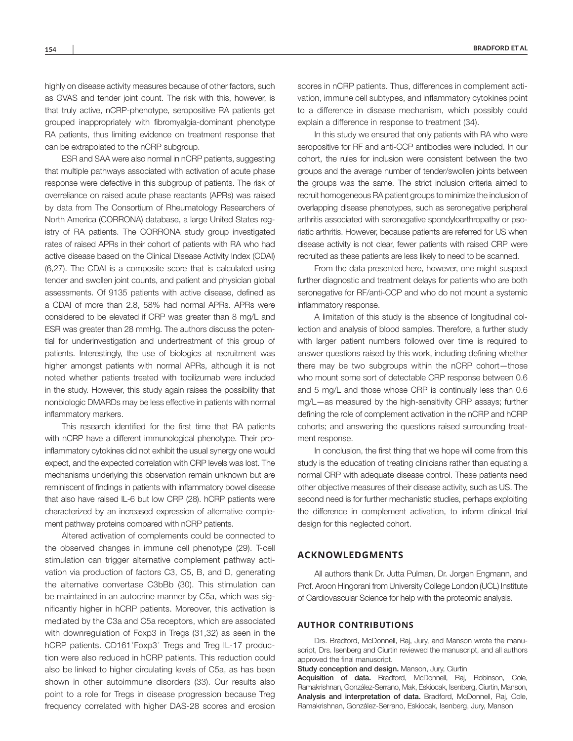highly on disease activity measures because of other factors, such as GVAS and tender joint count. The risk with this, however, is that truly active, nCRP-phenotype, seropositive RA patients get grouped inappropriately with fibromyalgia-dominant phenotype RA patients, thus limiting evidence on treatment response that can be extrapolated to the nCRP subgroup.

ESR and SAA were also normal in nCRP patients, suggesting that multiple pathways associated with activation of acute phase response were defective in this subgroup of patients. The risk of overreliance on raised acute phase reactants (APRs) was raised by data from The Consortium of Rheumatology Researchers of North America (CORRONA) database, a large United States registry of RA patients. The CORRONA study group investigated rates of raised APRs in their cohort of patients with RA who had active disease based on the Clinical Disease Activity Index (CDAI) (6,27). The CDAI is a composite score that is calculated using tender and swollen joint counts, and patient and physician global assessments. Of 9135 patients with active disease, defined as a CDAI of more than 2.8, 58% had normal APRs. APRs were considered to be elevated if CRP was greater than 8 mg/L and ESR was greater than 28 mmHg. The authors discuss the potential for underinvestigation and undertreatment of this group of patients. Interestingly, the use of biologics at recruitment was higher amongst patients with normal APRs, although it is not noted whether patients treated with tocilizumab were included in the study. However, this study again raises the possibility that nonbiologic DMARDs may be less effective in patients with normal inflammatory markers.

This research identified for the first time that RA patients with nCRP have a different immunological phenotype. Their proinflammatory cytokines did not exhibit the usual synergy one would expect, and the expected correlation with CRP levels was lost. The mechanisms underlying this observation remain unknown but are reminiscent of findings in patients with inflammatory bowel disease that also have raised IL-6 but low CRP (28). hCRP patients were characterized by an increased expression of alternative complement pathway proteins compared with nCRP patients.

Altered activation of complements could be connected to the observed changes in immune cell phenotype (29). T-cell stimulation can trigger alternative complement pathway activation via production of factors C3, C5, B, and D, generating the alternative convertase C3bBb (30). This stimulation can be maintained in an autocrine manner by C5a, which was significantly higher in hCRP patients. Moreover, this activation is mediated by the C3a and C5a receptors, which are associated with downregulation of Foxp3 in Tregs (31,32) as seen in the hCRP patients. CD161<sup>+</sup>Foxp3<sup>+</sup> Tregs and Treg IL-17 production were also reduced in hCRP patients. This reduction could also be linked to higher circulating levels of C5a, as has been shown in other autoimmune disorders (33). Our results also point to a role for Tregs in disease progression because Treg frequency correlated with higher DAS-28 scores and erosion

scores in nCRP patients. Thus, differences in complement activation, immune cell subtypes, and inflammatory cytokines point to a difference in disease mechanism, which possibly could explain a difference in response to treatment (34).

In this study we ensured that only patients with RA who were seropositive for RF and anti-CCP antibodies were included. In our cohort, the rules for inclusion were consistent between the two groups and the average number of tender/swollen joints between the groups was the same. The strict inclusion criteria aimed to recruit homogeneous RA patient groups to minimize the inclusion of overlapping disease phenotypes, such as seronegative peripheral arthritis associated with seronegative spondyloarthropathy or psoriatic arthritis. However, because patients are referred for US when disease activity is not clear, fewer patients with raised CRP were recruited as these patients are less likely to need to be scanned.

From the data presented here, however, one might suspect further diagnostic and treatment delays for patients who are both seronegative for RF/anti-CCP and who do not mount a systemic inflammatory response.

A limitation of this study is the absence of longitudinal collection and analysis of blood samples. Therefore, a further study with larger patient numbers followed over time is required to answer questions raised by this work, including defining whether there may be two subgroups within the nCRP cohort—those who mount some sort of detectable CRP response between 0.6 and 5 mg/L and those whose CRP is continually less than 0.6 mg/L—as measured by the high-sensitivity CRP assays; further defining the role of complement activation in the nCRP and hCRP cohorts; and answering the questions raised surrounding treatment response.

In conclusion, the first thing that we hope will come from this study is the education of treating clinicians rather than equating a normal CRP with adequate disease control. These patients need other objective measures of their disease activity, such as US. The second need is for further mechanistic studies, perhaps exploiting the difference in complement activation, to inform clinical trial design for this neglected cohort.

## **ACKNOWLEDGMENTS**

All authors thank Dr. Jutta Pulman, Dr. Jorgen Engmann, and Prof. Aroon Hingorani from University College London (UCL) Institute of Cardiovascular Science for help with the proteomic analysis.

#### **AUTHOR CONTRIBUTIONS**

Drs. Bradford, McDonnell, Raj, Jury, and Manson wrote the manuscript, Drs. Isenberg and Ciurtin reviewed the manuscript, and all authors approved the final manuscript.

Study conception and design. Manson, Jury, Ciurtin

Acquisition of data. Bradford, McDonnell, Raj, Robinson, Cole, Ramakrishnan, González-Serrano, Mak, Eskiocak, Isenberg, Ciurtin, Manson, Analysis and interpretation of data. Bradford, McDonnell, Rai, Cole, Ramakrishnan, González-Serrano, Eskiocak, Isenberg, Jury, Manson